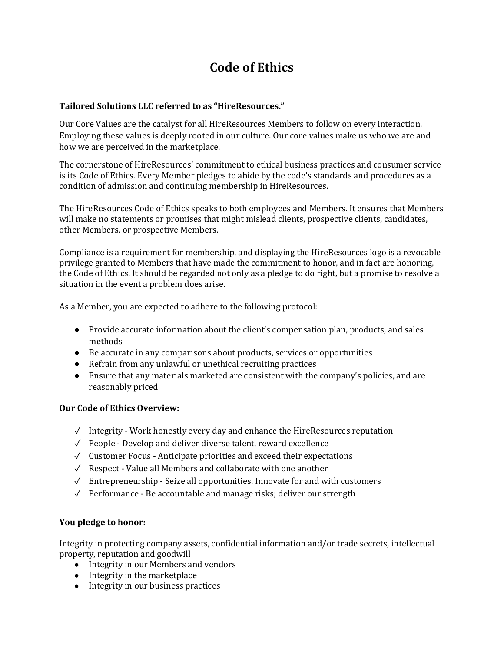# **Code of Ethics**

### **Tailored Solutions LLC referred to as "HireResources."**

Our Core Values are the catalyst for all HireResources Members to follow on every interaction. Employing these values is deeply rooted in our culture. Our core values make us who we are and how we are perceived in the marketplace.

The cornerstone of HireResources' commitment to ethical business practices and consumer service is its Code of Ethics. Every Member pledges to abide by the code's standards and procedures as a condition of admission and continuing membership in HireResources.

The HireResources Code of Ethics speaks to both employees and Members. It ensures that Members will make no statements or promises that might mislead clients, prospective clients, candidates, other Members, or prospective Members.

Compliance is a requirement for membership, and displaying the HireResources logo is a revocable privilege granted to Members that have made the commitment to honor, and in fact are honoring, the Code of Ethics. It should be regarded not only as a pledge to do right, but a promise to resolve a situation in the event a problem does arise.

As a Member, you are expected to adhere to the following protocol:

- Provide accurate information about the client's compensation plan, products, and sales methods
- Be accurate in any comparisons about products, services or opportunities
- Refrain from any unlawful or unethical recruiting practices
- Ensure that any materials marketed are consistent with the company's policies, and are reasonably priced

#### **Our Code of Ethics Overview:**

- $\checkmark$  Integrity Work honestly every day and enhance the HireResources reputation
- ✓ People Develop and deliver diverse talent, reward excellence
- ✓ Customer Focus Anticipate priorities and exceed their expectations
- ✓ Respect Value all Members and collaborate with one another
- ✓ Entrepreneurship Seize all opportunities. Innovate for and with customers
- ✓ Performance Be accountable and manage risks; deliver our strength

#### **You pledge to honor:**

Integrity in protecting company assets, confidential information and/or trade secrets, intellectual property, reputation and goodwill

- Integrity in our Members and vendors
- Integrity in the marketplace
- Integrity in our business practices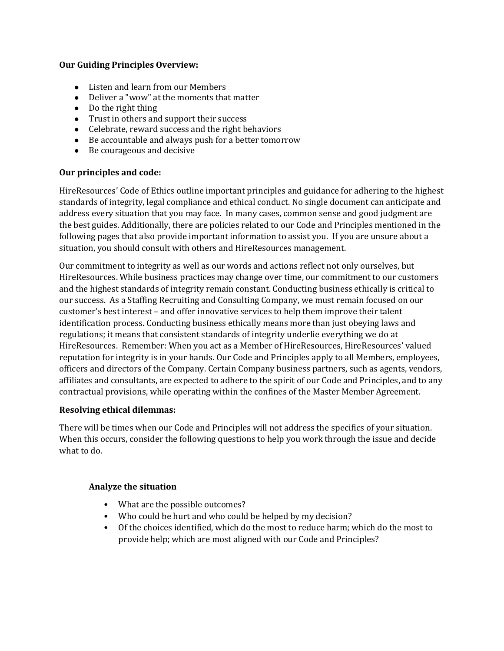#### **Our Guiding Principles Overview:**

- Listen and learn from our Members
- Deliver a "wow" at the moments that matter
- Do the right thing
- Trust in others and support their success
- Celebrate, reward success and the right behaviors
- Be accountable and always push for a better tomorrow
- Be courageous and decisive

#### **Our principles and code:**

HireResources' Code of Ethics outline important principles and guidance for adhering to the highest standards of integrity, legal compliance and ethical conduct. No single document can anticipate and address every situation that you may face. In many cases, common sense and good judgment are the best guides. Additionally, there are policies related to our Code and Principles mentioned in the following pages that also provide important information to assist you. If you are unsure about a situation, you should consult with others and HireResources management.

Our commitment to integrity as well as our words and actions reflect not only ourselves, but HireResources. While business practices may change over time, our commitment to our customers and the highest standards of integrity remain constant. Conducting business ethically is critical to our success. As a Staffing Recruiting and Consulting Company, we must remain focused on our customer's best interest – and offer innovative services to help them improve their talent identification process. Conducting business ethically means more than just obeying laws and regulations; it means that consistent standards of integrity underlie everything we do at HireResources. Remember: When you act as a Member of HireResources, HireResources' valued reputation for integrity is in your hands. Our Code and Principles apply to all Members, employees, officers and directors of the Company. Certain Company business partners, such as agents, vendors, affiliates and consultants, are expected to adhere to the spirit of our Code and Principles, and to any contractual provisions, while operating within the confines of the Master Member Agreement.

#### **Resolving ethical dilemmas:**

There will be times when our Code and Principles will not address the specifics of your situation. When this occurs, consider the following questions to help you work through the issue and decide what to do.

#### **Analyze the situation**

- What are the possible outcomes?
- Who could be hurt and who could be helped by my decision?
- Of the choices identified, which do the most to reduce harm; which do the most to provide help; which are most aligned with our Code and Principles?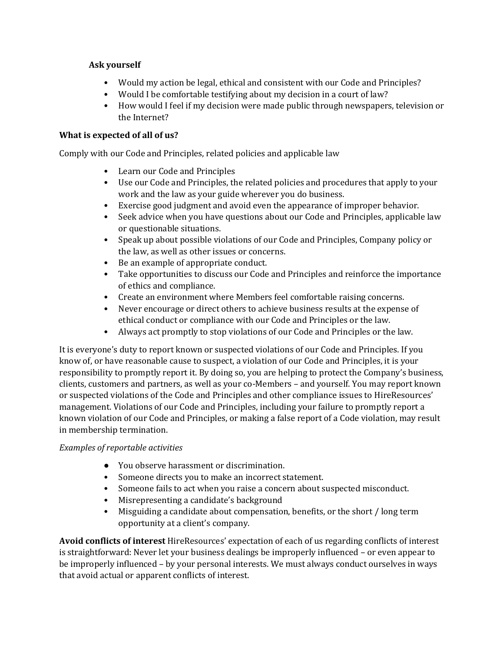### **Ask yourself**

- Would my action be legal, ethical and consistent with our Code and Principles?
- Would I be comfortable testifying about my decision in a court of law?
- How would I feel if my decision were made public through newspapers, television or the Internet?

## **What is expected of all of us?**

Comply with our Code and Principles, related policies and applicable law

- Learn our Code and Principles
- Use our Code and Principles, the related policies and procedures that apply to your work and the law as your guide wherever you do business.
- Exercise good judgment and avoid even the appearance of improper behavior.
- Seek advice when you have questions about our Code and Principles, applicable law or questionable situations.
- Speak up about possible violations of our Code and Principles, Company policy or the law, as well as other issues or concerns.
- Be an example of appropriate conduct.
- Take opportunities to discuss our Code and Principles and reinforce the importance of ethics and compliance.
- Create an environment where Members feel comfortable raising concerns.
- Never encourage or direct others to achieve business results at the expense of ethical conduct or compliance with our Code and Principles or the law.
- Always act promptly to stop violations of our Code and Principles or the law.

It is everyone's duty to report known or suspected violations of our Code and Principles. If you know of, or have reasonable cause to suspect, a violation of our Code and Principles, it is your responsibility to promptly report it. By doing so, you are helping to protect the Company's business, clients, customers and partners, as well as your co-Members – and yourself. You may report known or suspected violations of the Code and Principles and other compliance issues to HireResources' management. Violations of our Code and Principles, including your failure to promptly report a known violation of our Code and Principles, or making a false report of a Code violation, may result in membership termination.

#### *Examples of reportable activities*

- You observe harassment or discrimination.
- Someone directs you to make an incorrect statement.
- Someone fails to act when you raise a concern about suspected misconduct.
- Misrepresenting a candidate's background
- Misguiding a candidate about compensation, benefits, or the short / long term opportunity at a client's company.

**Avoid conflicts of interest** HireResources' expectation of each of us regarding conflicts of interest is straightforward: Never let your business dealings be improperly influenced – or even appear to be improperly influenced – by your personal interests. We must always conduct ourselves in ways that avoid actual or apparent conflicts of interest.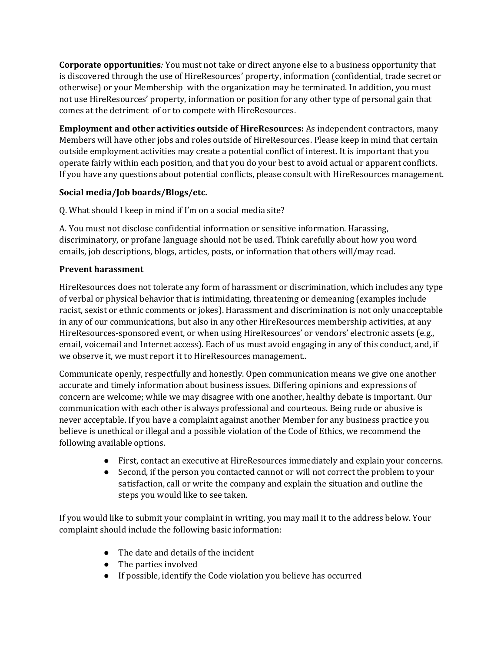**Corporate opportunities***:* You must not take or direct anyone else to a business opportunity that is discovered through the use of HireResources' property, information (confidential, trade secret or otherwise) or your Membership with the organization may be terminated. In addition, you must not use HireResources' property, information or position for any other type of personal gain that comes at the detriment of or to compete with HireResources.

**Employment and other activities outside of HireResources:** As independent contractors, many Members will have other jobs and roles outside of HireResources. Please keep in mind that certain outside employment activities may create a potential conflict of interest. It is important that you operate fairly within each position, and that you do your best to avoid actual or apparent conflicts. If you have any questions about potential conflicts, please consult with HireResources management.

## **Social media/Job boards/Blogs/etc.**

Q. What should I keep in mind if I'm on a social media site?

A. You must not disclose confidential information or sensitive information. Harassing, discriminatory, or profane language should not be used. Think carefully about how you word emails, job descriptions, blogs, articles, posts, or information that others will/may read.

## **Prevent harassment**

HireResources does not tolerate any form of harassment or discrimination, which includes any type of verbal or physical behavior that is intimidating, threatening or demeaning (examples include racist, sexist or ethnic comments or jokes). Harassment and discrimination is not only unacceptable in any of our communications, but also in any other HireResources membership activities, at any HireResources-sponsored event, or when using HireResources' or vendors' electronic assets (e.g., email, voicemail and Internet access). Each of us must avoid engaging in any of this conduct, and, if we observe it, we must report it to HireResources management..

Communicate openly, respectfully and honestly. Open communication means we give one another accurate and timely information about business issues. Differing opinions and expressions of concern are welcome; while we may disagree with one another, healthy debate is important. Our communication with each other is always professional and courteous. Being rude or abusive is never acceptable. If you have a complaint against another Member for any business practice you believe is unethical or illegal and a possible violation of the Code of Ethics, we recommend the following available options.

- First, contact an executive at HireResources immediately and explain your concerns.
- Second, if the person you contacted cannot or will not correct the problem to your satisfaction, call or write the company and explain the situation and outline the steps you would like to see taken.

If you would like to submit your complaint in writing, you may mail it to the address below. Your complaint should include the following basic information:

- The date and details of the incident
- The parties involved
- If possible, identify the Code violation you believe has occurred